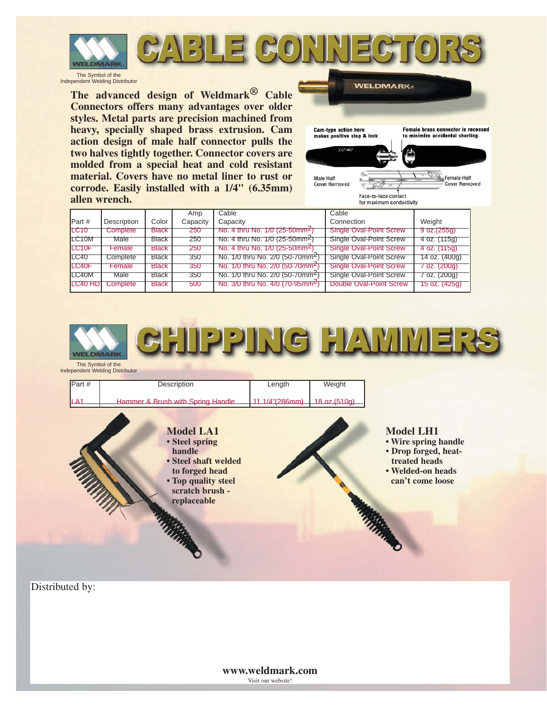

#### 7KH : HOGLQJ , QGXVWU\·V ) XWXUH LQ \$UF : HOGI



## **GROUND CLAMPS**



### **ELECTRODE HOLDERS**



### **CABLE CONNECTORS**



**CHIPPING HAMMERS**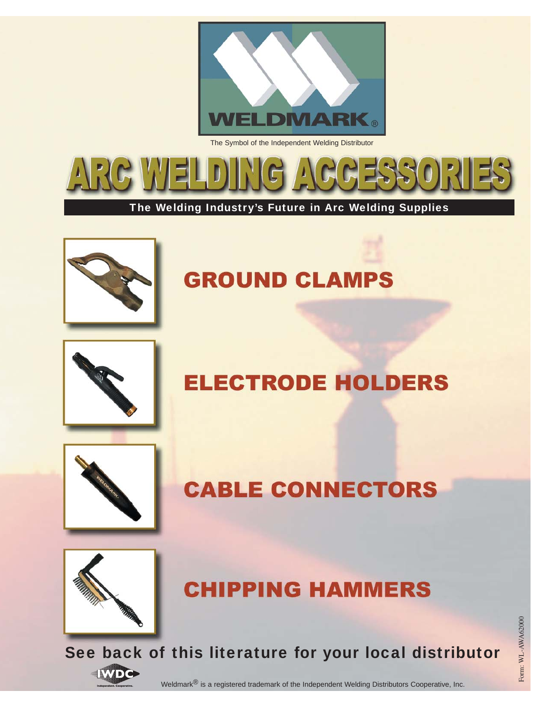

*200, 300 and 500 Series*

**Weldmark® 200, 300 and 500 series ground clamps have the largest contact area with the work of any clamp on the market. Serrated upper and lower jaws insure maximum bite to the work. A good ground clamp helps assure proper voltage for maximum weld results with all rods.**

**A tough, brass hinge pin is durable and allows both jaws to carry current. The enclosed heavy duty spring assures a powerful bite on the work. The insulation on top and bottom provides extended spring life.**

**All three sizes of the Weldmark® 200, 300 and 500 series ground clamps have the oval-point screw cable connection which is easy to install. No shim stock or pressure plate is needed.**

**Both upper and lower jaws of the 200, 300, 500 and LPG models are made from a high copper alloy assuring excellent current carrying ability. No steel jaws are used. A good ground connection assures better welds.**

**The Weldmark® EG-200 ground clamp is ideal for light duty welders. May be used for other light duty applications.**

**The Weldmark® EG-300 ground clamp is ideal for the farm welder or for light shop work.**

**The Weldmark® EG-500 is excellent for field erection or where clamping to bar stock, piping or various shapes of metal are necessary. The pure copper braided shunt allows both high copper alloy jaws to carry welding current. A rugged, all steel body protects the heavy duty spring.**

|                    | Amp      | Cable                                                   | Type of Cable                      |                   | Jaw              |
|--------------------|----------|---------------------------------------------------------|------------------------------------|-------------------|------------------|
| Part #             | Capacity | Capacity                                                | Connection                         | Weight            | Opening          |
| 200                | 200      | No.4 thru No.1/0(25-50mm <sup>2</sup> )                 | <b>Mechanical Oval-Point Screw</b> | 13 oz. (370g)     | 1" (25.4mm)      |
| 300                | 300      | No.1/0 thru No.2/0(50-70mm <sup>∠</sup> )               | <b>Mechanical Oval-Point Screw</b> | $26$ oz. $(740g)$ | $1/2$ " (38.1mm) |
| 500                | 500      | No.3/0 thru No.4/0(70-95mm <sup>2</sup> )               | <b>Mechanical Oval-Point Screw</b> | 35 oz. (995g)     | $1/2"$ (38.1mm)  |
| EG <sub>200</sub>  | 200      | No.4 thru No.1/0(25-50mm <sup>2</sup> )                 | Bolt and Nut with Support          | $6$ oz. $(170q)$  | $1/2$ " (38.1mm) |
| EG300              | 300      | No.1/0 thru No.2/0(50-70mm <sup>2</sup> )               | <b>Bolt and Nut with Support</b>   | 11 oz. (310g)     | $2"$ (51mm)      |
| EG500              | 500      | No.3/0 thru No.4/0(70-95mm <sup>2</sup> )               | Bolt and Nut with Support          | $22$ oz. $(620q)$ | $2"$ (51mm)      |
| LPG <sub>200</sub> | 200      | $\sqrt{N_0.4 \text{ thru No}}.1/0(25-50\text{mm}^{-1})$ | <b>Mechanical Oval-Point Screw</b> | 13 oz. (370g)     | (25.4mm)         |
| LPG300             | 300      | No.1/0 thru No.2/0(50-70mm <sup>2</sup> )               | <b>Mechanical Oval-Point Screw</b> | 25 oz. (709g)     | 1/2" (38.1mm)    |
| LPG500             | 500      | No.3/0 thru No.4/0(70-95mm <sup>2</sup> )               | <b>Mechanical Oval-Point Screw</b> | 38 oz. (11kg)     | $2"$ (51mm))     |

*LPG Series*

*EG Series (Steel Type)*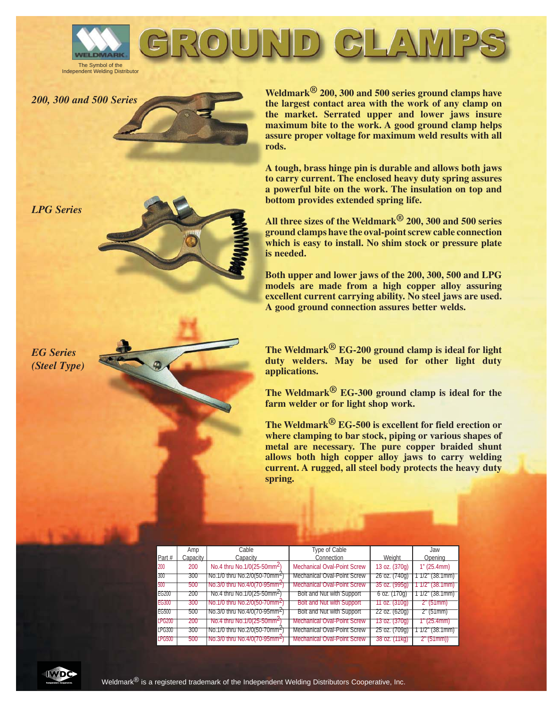





**1. Weldmark's durable tip insulators are molded from a high impact/high temperature fiberglass compound.**

**2. The upper lever is fully insulated with a fiberglass compound, and the low profile design of the upper lever fits your hand comfortably.**

**3. Weldmark's powerful spring holds the electrode securely in place and prevents electrode slippage. The spring is protected by a Lexan cup insulator.**

**4. Weldmark's specially designed oval-point screw makes it easy to install our holder on a cable. Just strip off the appropriate length of cable insulation and insert it into the holder body, then tighten down the large oval-point screw with a hex wrench. This makes an excellent connection. As a safety precaution, the handle retention screw is upset to prevent removal.**

|              | Amp      | Cable                             | Electrodes       |                |                   |
|--------------|----------|-----------------------------------|------------------|----------------|-------------------|
| Part#        | Capacity | Capacity                          | Up to            | <u>Lenath</u>  | <b>Weight</b>     |
| <b>M-150</b> | 150-200  | 1 $(35mm^2)$                      | 5/32" (3.97mm)   | 8 1/4" (210mm) | 11 oz. (310g)     |
| $M-200$      | 200-250  | 1/0 (50mm <del>≤</del> )          | $5/32"$ (3.97mm) | 81/4" (210mm)  | 12 1/2 oz. (360g) |
| $IM-250$     | 250-300  | 2/0 (70mm <del>≦)</del>           | $3/16"$ (4.75mm) | 81/2" (216mm)  | 16 oz. (450g)     |
| $IM-300$     | 300-350  | 2/0 (70mm <sup>∠</sup> )          | $1/4$ " (6.35mm) | 10" (254mm)    | 21 oz. (600 g)    |
| M-350        | 350-400  | 3/0 (70mm <sup>∠</sup> )          | 1/4" (6.35mm)    | 10" (254mm)    | $24$ oz. (680g)   |
| <b>M-500</b> | 450-500  | <del>4/0 (95mm<sup>2</sup>)</del> | (9.53mm)<br>3/8" | (267mm)        | 31 oz. (880g)     |

|                | Amp             | Cable                             | Electrodes        |                        |                   |
|----------------|-----------------|-----------------------------------|-------------------|------------------------|-------------------|
| Part #         | Capacity        | Capacity                          | Up to             | <u>Lenath</u>          | <b>Weight</b>     |
|                | MHT-200 200-250 | $1/0$ (50mm <sup>2</sup> )        | $5/32$ " (3.97mm) | 9" (229mm)             | 13 oz. (310g)     |
|                | MHT-250 250-300 | 12/0(70mm <sup>2</sup> )          | 3/16" (4.75mm)    | $9.3/4"$ (248mm)       | 19 oz. (450g)     |
|                | MHT-300 300-350 | <del>2/0 (70mm<sup>∠</sup>)</del> | 1/4" (6.35mm      |                        | 23 oz. (650g)     |
|                | MHT-350 350-400 | <del>3/0 (70mm<sup>∠</sup>)</del> | 1/4" (6.35mm)     | 10 1/2" (267mm)        | $24$ oz. $(680q)$ |
| <b>MHT-500</b> | 450-500         | $4/0$ (95mm <sup>2</sup> )        | $3/8$ " (9.53mm)  | <u>10 1/2" (267mm)</u> | 31 oz. (880g)     |

|                 | Amp      | Cable    | Electrodes |                                                               |               |
|-----------------|----------|----------|------------|---------------------------------------------------------------|---------------|
| Part#           | Capacity | Capacity | Up to      | Lenath                                                        | Weiaht        |
| <b>IMLT-400</b> | 400      |          |            | $3/0$ (70mm <sup>2</sup> )   1/4" (6.35mm)   8 15/16" (227mm) | 22 oz. (624g) |



*MHT Series (High Tong Type)*

**Weldmark® holder handles are molded from a durable glass filled nylon material with good heat and impact resistance.**

**Weldmark® electrode holders (upper and lower tongs) are made from a high copper alloy for maximum conductivity and strength. The top and bottom tip insulators are a molded fiberglass compound and will withstand intensive heat and impact. Parts for all models are replaceable. The oval-point screw cable connection is standard on all models.**